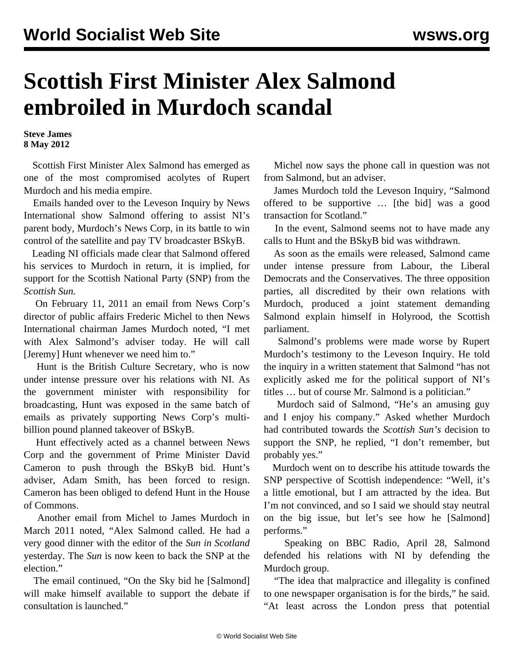## **Scottish First Minister Alex Salmond embroiled in Murdoch scandal**

**Steve James 8 May 2012**

 Scottish First Minister Alex Salmond has emerged as one of the most compromised acolytes of Rupert Murdoch and his media empire.

 Emails handed over to the Leveson Inquiry by News International show Salmond offering to assist NI's parent body, Murdoch's News Corp, in its battle to win control of the satellite and pay TV broadcaster BSkyB.

 Leading NI officials made clear that Salmond offered his services to Murdoch in return, it is implied, for support for the Scottish National Party (SNP) from the *Scottish Sun.*

 On February 11, 2011 an email from News Corp's director of public affairs Frederic Michel to then News International chairman James Murdoch noted, "I met with Alex Salmond's adviser today. He will call [Jeremy] Hunt whenever we need him to."

 Hunt is the British Culture Secretary, who is now under intense pressure over his relations with NI. As the government minister with responsibility for broadcasting, Hunt was exposed in the same batch of emails as privately supporting News Corp's multibillion pound planned takeover of BSkyB.

 Hunt effectively acted as a channel between News Corp and the government of Prime Minister David Cameron to push through the BSkyB bid. Hunt's adviser, Adam Smith, has been forced to resign. Cameron has been obliged to defend Hunt in the House of Commons.

 Another email from Michel to James Murdoch in March 2011 noted, "Alex Salmond called. He had a very good dinner with the editor of the *Sun in Scotland* yesterday. The *Sun* is now keen to back the SNP at the election."

 The email continued, "On the Sky bid he [Salmond] will make himself available to support the debate if consultation is launched."

 Michel now says the phone call in question was not from Salmond, but an adviser.

 James Murdoch told the Leveson Inquiry, "Salmond offered to be supportive … [the bid] was a good transaction for Scotland."

 In the event, Salmond seems not to have made any calls to Hunt and the BSkyB bid was withdrawn.

 As soon as the emails were released, Salmond came under intense pressure from Labour, the Liberal Democrats and the Conservatives. The three opposition parties, all discredited by their own relations with Murdoch, produced a joint statement demanding Salmond explain himself in Holyrood, the Scottish parliament.

 Salmond's problems were made worse by Rupert Murdoch's testimony to the Leveson Inquiry. He told the inquiry in a written statement that Salmond "has not explicitly asked me for the political support of NI's titles … but of course Mr. Salmond is a politician."

 Murdoch said of Salmond, "He's an amusing guy and I enjoy his company." Asked whether Murdoch had contributed towards the *Scottish Sun's* decision to support the SNP, he replied, "I don't remember, but probably yes."

 Murdoch went on to describe his attitude towards the SNP perspective of Scottish independence: "Well, it's a little emotional, but I am attracted by the idea. But I'm not convinced, and so I said we should stay neutral on the big issue, but let's see how he [Salmond] performs."

 Speaking on BBC Radio, April 28, Salmond defended his relations with NI by defending the Murdoch group.

 "The idea that malpractice and illegality is confined to one newspaper organisation is for the birds," he said. "At least across the London press that potential